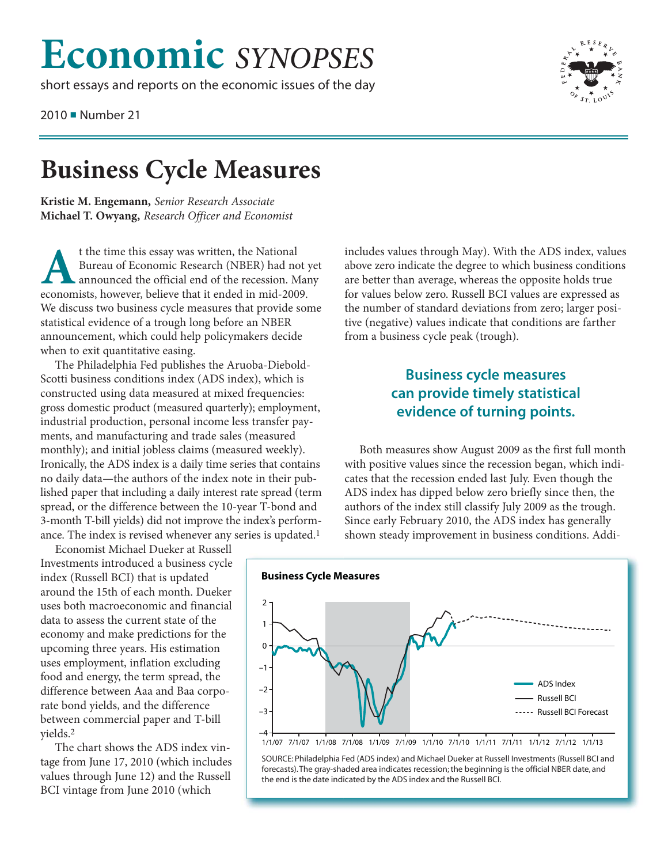## **Economic** *SYNOPSES*

short essays and reports on the economic issues of the day

2010 ■ Number 21



**Business Cycle M. Engemann, Senior Research Associate Kristie M. Engemann,** *Senior Research Associate* **Michael T. Owyang,** *Research Officer and Economist*

t the time this essay was written, the National<br>Bureau of Economic Research (NBER) had no<br>announced the official end of the recession. Neconomists, however, believe that it ended in mid-200<br>We discuss two business cycle me Bureau of Economic Research (NBER) had not yet announced the official end of the recession. Many economists, however, believe that it ended in mid-2009. We discuss two business cycle measures that provide some statistical evidence of a trough long before an NBER announcement, which could help policymakers decide when to exit quantitative easing.

The Philadelphia Fed publishes the Aruoba-Diebold-Scotti business conditions index (ADS index), which is constructed using data measured at mixed frequencies: gross domestic product (measured quarterly); employment, industrial production, personal income less transfer payments, and manufacturing and trade sales (measured monthly); and initial jobless claims (measured weekly). Ironically, the ADS index is a daily time series that contains no daily data—the authors of the index note in their published paper that including a daily interest rate spread (term spread, or the difference between the 10-year T-bond and 3-month T-bill yields) did not improve the index's performance. The index is revised whenever any series is updated.<sup>1</sup>

Economist Michael Dueker at Russell Investments introduced a business cycle index (Russell BCI) that is updated around the 15th of each month. Dueker uses both macroeconomic and financial data to assess the current state of the economy and make predictions for the upcoming three years. His estimation uses employment, inflation excluding food and energy, the term spread, the difference between Aaa and Baa corporate bond yields, and the difference between commercial paper and T-bill yields.2

The chart shows the ADS index vintage from June 17, 2010 (which includes values through June 12) and the Russell BCI vintage from June 2010 (which

includes values through May). With the ADS index, values above zero indicate the degree to which business conditions are better than average, whereas the opposite holds true for values below zero. Russell BCI values are expressed as the number of standard deviations from zero; larger positive (negative) values indicate that conditions are farther from a business cycle peak (trough).

## **Business cycle measures can provide timely statistical evidence of turning points.**

Both measures show August 2009 as the first full month with positive values since the recession began, which indicates that the recession ended last July. Even though the ADS index has dipped below zero briefly since then, the authors of the index still classify July 2009 as the trough. Since early February 2010, the ADS index has generally shown steady improvement in business conditions. Addi-



SOURCE: Philadelphia Fed (ADS index) and Michael Dueker at Russell Investments (Russell BCI and forecasts). The gray-shaded area indicates recession; the beginning is the official NBER date, and the end is the date indicated by the ADS index and the Russell BCI.